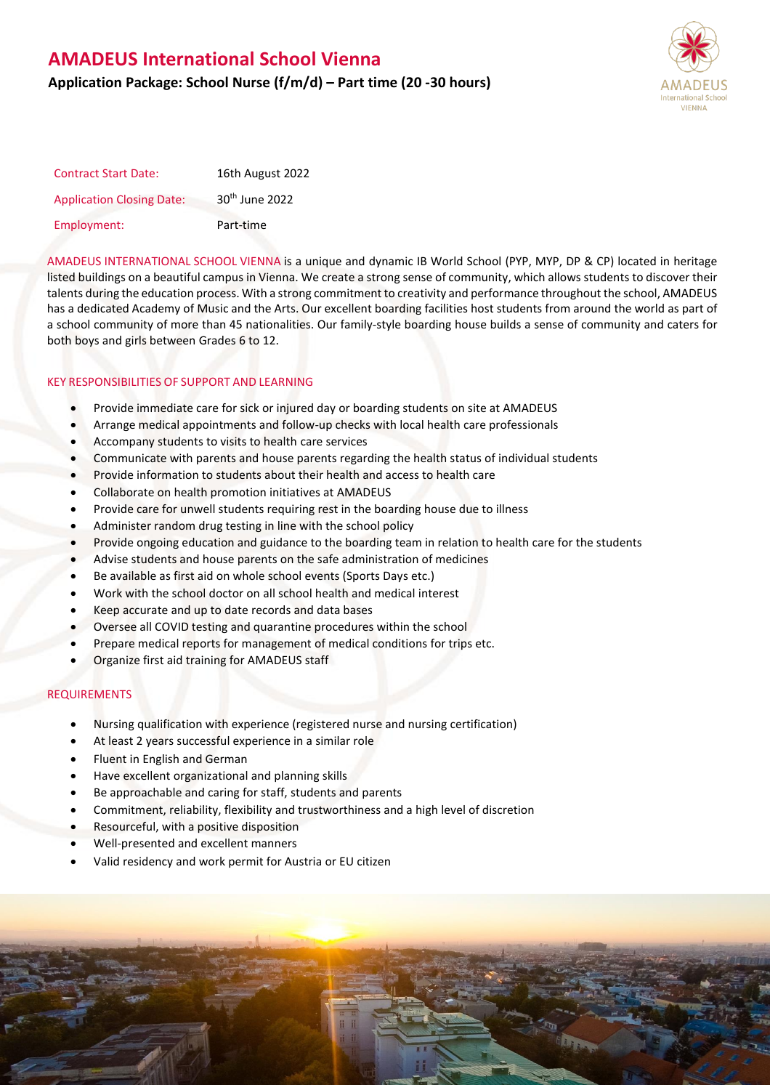# **AMADEUS International School Vienna**

## **Application Package: School Nurse (f/m/d) – Part time (20 -30 hours)**



| <b>Contract Start Date:</b>      | 16th August 2022           |
|----------------------------------|----------------------------|
| <b>Application Closing Date:</b> | 30 <sup>th</sup> June 2022 |
| Employment:                      | Part-time                  |

AMADEUS INTERNATIONAL SCHOOL VIENNA is a unique and dynamic IB World School (PYP, MYP, DP & CP) located in heritage listed buildings on a beautiful campus in Vienna. We create a strong sense of community, which allows students to discover their talents during the education process. With a strong commitment to creativity and performance throughout the school, AMADEUS has a dedicated Academy of Music and the Arts. Our excellent boarding facilities host students from around the world as part of a school community of more than 45 nationalities. Our family-style boarding house builds a sense of community and caters for both boys and girls between Grades 6 to 12.

### KEY RESPONSIBILITIES OF SUPPORT AND LEARNING

- Provide immediate care for sick or injured day or boarding students on site at AMADEUS
- Arrange medical appointments and follow-up checks with local health care professionals
- Accompany students to visits to health care services
- Communicate with parents and house parents regarding the health status of individual students
- Provide information to students about their health and access to health care
- Collaborate on health promotion initiatives at AMADEUS
- Provide care for unwell students requiring rest in the boarding house due to illness
- Administer random drug testing in line with the school policy
- Provide ongoing education and guidance to the boarding team in relation to health care for the students
- Advise students and house parents on the safe administration of medicines
- Be available as first aid on whole school events (Sports Days etc.)
- Work with the school doctor on all school health and medical interest
- Keep accurate and up to date records and data bases
- Oversee all COVID testing and quarantine procedures within the school
- Prepare medical reports for management of medical conditions for trips etc.
- Organize first aid training for AMADEUS staff

### REQUIREMENTS

- Nursing qualification with experience (registered nurse and nursing certification)
- At least 2 years successful experience in a similar role
- Fluent in English and German
- Have excellent organizational and planning skills
- Be approachable and caring for staff, students and parents
- Commitment, reliability, flexibility and trustworthiness and a high level of discretion
- Resourceful, with a positive disposition
- Well-presented and excellent manners
- Valid residency and work permit for Austria or EU citizen